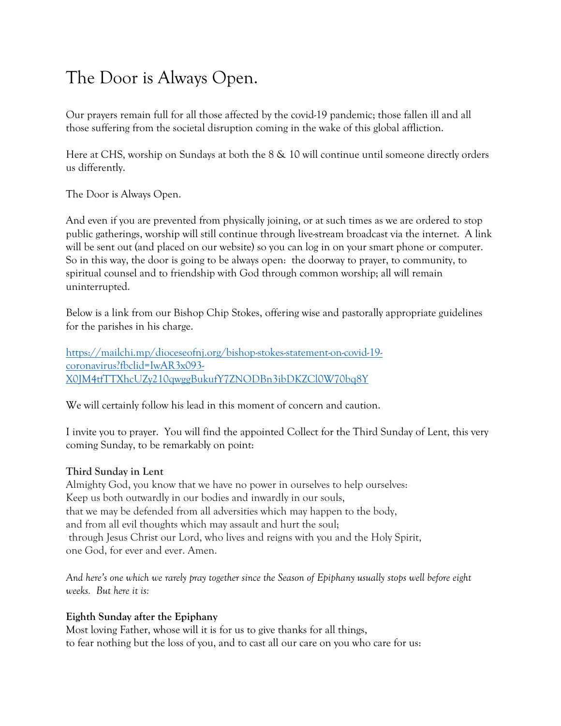## The Door is Always Open.

Our prayers remain full for all those affected by the covid-19 pandemic; those fallen ill and all those suffering from the societal disruption coming in the wake of this global affliction.

Here at CHS, worship on Sundays at both the 8 & 10 will continue until someone directly orders us differently.

The Door is Always Open.

And even if you are prevented from physically joining, or at such times as we are ordered to stop public gatherings, worship will still continue through live-stream broadcast via the internet. A link will be sent out (and placed on our website) so you can log in on your smart phone or computer. So in this way, the door is going to be always open: the doorway to prayer, to community, to spiritual counsel and to friendship with God through common worship; all will remain uninterrupted.

Below is a link from our Bishop Chip Stokes, offering wise and pastorally appropriate guidelines for the parishes in his charge.

[https://mailchi.mp/dioceseofnj.org/bishop-stokes-statement-on-covid-19](https://mailchi.mp/dioceseofnj.org/bishop-stokes-statement-on-covid-19-coronavirus?fbclid=IwAR3x093-X0JM4tfTTXhcUZy210qwggBukufY7ZNODBn3ibDKZCl0W70bq8Y) [coronavirus?fbclid=IwAR3x093-](https://mailchi.mp/dioceseofnj.org/bishop-stokes-statement-on-covid-19-coronavirus?fbclid=IwAR3x093-X0JM4tfTTXhcUZy210qwggBukufY7ZNODBn3ibDKZCl0W70bq8Y) [X0JM4tfTTXhcUZy210qwggBukufY7ZNODBn3ibDKZCl0W70bq8Y](https://mailchi.mp/dioceseofnj.org/bishop-stokes-statement-on-covid-19-coronavirus?fbclid=IwAR3x093-X0JM4tfTTXhcUZy210qwggBukufY7ZNODBn3ibDKZCl0W70bq8Y)

We will certainly follow his lead in this moment of concern and caution.

I invite you to prayer. You will find the appointed Collect for the Third Sunday of Lent, this very coming Sunday, to be remarkably on point:

## **Third Sunday in Lent**

Almighty God, you know that we have no power in ourselves to help ourselves: Keep us both outwardly in our bodies and inwardly in our souls, that we may be defended from all adversities which may happen to the body, and from all evil thoughts which may assault and hurt the soul; through Jesus Christ our Lord, who lives and reigns with you and the Holy Spirit, one God, for ever and ever. Amen.

*And here's one which we rarely pray together since the Season of Epiphany usually stops well before eight weeks. But here it is:*

## **Eighth Sunday after the Epiphany**

Most loving Father, whose will it is for us to give thanks for all things, to fear nothing but the loss of you, and to cast all our care on you who care for us: